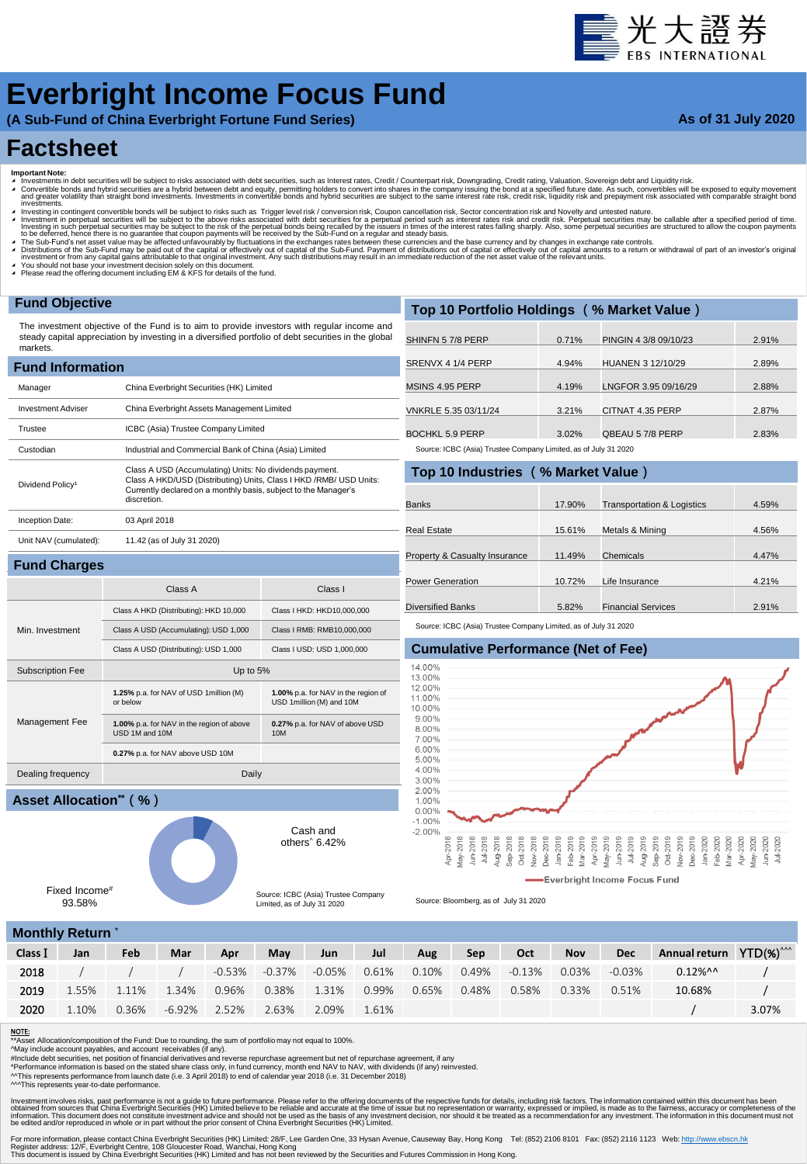# 量光大證券

## **Everbright Income Focus Fund**

**(A Sub-Fund of China Everbright Fortune Fund Series)**

### **As of 31 July 2020**

### **Factsheet**

- 
- Important Note:<br>▲ Investments in debt securities will be subject to risks associated with debt securities, such as Interest rates, Credit / Counterpart risk, Downgrading, Credit rating, Valuation, Sovereign debt and Equid westing in contingent convertible bonds will be subject to risks such as Trigger level risk / conversion risk, Coupon cancellation risk. Sector concentration risk and Novelty and untested nature.
- Investment in perpetual securities will be subject to the above risks associated with debt securities for a perpetual period such as interest rates risk and credit risk. Perpetual securities may be callable after a specifi
- 

**1.00%** p.a. for NAV in the region of USD 1million (M) and 10M

**0.27%** p.a. for NAV of above USD

Cash and others^ 6.42%

Source: ICBC (Asia) Trustee Company Limited, as of July 31 2020

10M

- A The Sub-Fund's net asset value may be affected unfavourably by fluctuations in the exchanges rates between these currencies and the base currency and by changes in exchange rate controls.<br>A Distributions of the Sub-Fund
- ◢ You should not base your investment decision solely on this document. ◢ Please read the offering document including EM & KFS for details of the fund.

Subscription Fee Up to 5%

USD 1M and 10M

Dealing frequency Daily

**1.25%** p.a. for NAV of USD 1million (M) or below

**1.00%** p.a. for NAV in the region of above

**0.27%** p.a. for NAV above USD 10M

### **Fund Objective**

The investment objective of the Fund is to aim to provide investors with regular income and steady capital appreciation by investing in a diversified portfolio of debt securities in the global markets.

| <b>Fund Information</b>      |                                                                                                                                                                                                                  |  |  |  |  |  |  |  |  |
|------------------------------|------------------------------------------------------------------------------------------------------------------------------------------------------------------------------------------------------------------|--|--|--|--|--|--|--|--|
| Manager                      | China Everbright Securities (HK) Limited                                                                                                                                                                         |  |  |  |  |  |  |  |  |
| <b>Investment Adviser</b>    | China Everbright Assets Management Limited                                                                                                                                                                       |  |  |  |  |  |  |  |  |
| Trustee                      | ICBC (Asia) Trustee Company Limited                                                                                                                                                                              |  |  |  |  |  |  |  |  |
| Custodian                    | Industrial and Commercial Bank of China (Asia) Limited                                                                                                                                                           |  |  |  |  |  |  |  |  |
| Dividend Policy <sup>1</sup> | Class A USD (Accumulating) Units: No dividends payment.<br>Class A HKD/USD (Distributing) Units, Class I HKD / RMB/ USD Units:<br>Currently declared on a monthly basis, subject to the Manager's<br>discretion. |  |  |  |  |  |  |  |  |
| Inception Date:              | 03 April 2018                                                                                                                                                                                                    |  |  |  |  |  |  |  |  |
| Unit NAV (cumulated):        | 11.42 (as of July 31 2020)                                                                                                                                                                                       |  |  |  |  |  |  |  |  |
| <b>Fund Charges</b>          |                                                                                                                                                                                                                  |  |  |  |  |  |  |  |  |

Class A Class I

Class A HKD (Distributing): HKD 10,000 Class I HKD: HKD10,000,000 Class A USD (Accumulating): USD 1,000 Class I RMB: RMB10,000,000 Class A USD (Distributing): USD 1,000 Class I USD: USD 1,000,000

| Top 10 Portfolio Holdings (% Market Value) |       |                       |       |  |  |  |  |  |  |  |
|--------------------------------------------|-------|-----------------------|-------|--|--|--|--|--|--|--|
| SHINFN 57/8 PERP                           | 0.71% | PINGIN 4 3/8 09/10/23 | 2.91% |  |  |  |  |  |  |  |
| SRENVX 4 1/4 PERP                          | 4.94% | HUANEN 3 12/10/29     | 2.89% |  |  |  |  |  |  |  |
| MSINS 4.95 PERP                            | 4.19% | LNGFOR 3.95 09/16/29  | 2.88% |  |  |  |  |  |  |  |
| VNKRLE 5.35 03/11/24                       | 3.21% | CITNAT 4.35 PERP      | 2.87% |  |  |  |  |  |  |  |
| BOCHKL 5.9 PERP                            | 3.02% | OBEAU 57/8 PERP       | 2.83% |  |  |  |  |  |  |  |

Source: ICBC (Asia) Trustee Company Limited, as of July 31 2020

**Top 10 Industries (% Market Value)**

| TOD TO INQUISITIES (70 MIDINED VAILLE) |        |                                       |       |
|----------------------------------------|--------|---------------------------------------|-------|
|                                        |        |                                       |       |
| <b>Banks</b>                           | 17.90% | <b>Transportation &amp; Logistics</b> | 4.59% |
| Real Estate                            | 15.61% | Metals & Mining                       | 4.56% |
| Property & Casualty Insurance          | 11.49% | Chemicals                             | 4.47% |
| <b>Power Generation</b>                | 10.72% | Life Insurance                        | 4.21% |
| <b>Diversified Banks</b>               | 5.82%  | <b>Financial Services</b>             | 2.91% |

Source: ICBC (Asia) Trustee Company Limited, as of July 31 2020

### **Cumulative Performance (Net of Fee)**



Source: Bloomberg, as of July 31 2020

|  |  |  |  | <b>Monthly Return</b> |  |  |  |
|--|--|--|--|-----------------------|--|--|--|
|  |  |  |  |                       |  |  |  |

Fixed Income# 93.58%

**Asset Allocation\*\*(%)**

Min. Investment

Management Fee

|         | <b>INDITION INGUILL</b> |       |              |       |               |        |       |       |       |        |            |            |                                     |       |
|---------|-------------------------|-------|--------------|-------|---------------|--------|-------|-------|-------|--------|------------|------------|-------------------------------------|-------|
| Class I | Jan                     | Feb   | Mar          | Apr   | May           | Jun    | Jul   | Aug   | Sep   | Oct    | <b>Nov</b> | <b>Dec</b> | Annual return YTD(%) <sup>^^^</sup> |       |
| 2018    |                         |       |              |       | -0.53% -0.37% | -0.05% | 0.61% | 0.10% | 0.49% | -0.13% | 0.03%      | $-0.03\%$  | $0.12\%$ ^^                         |       |
| 2019    | 1.55%                   | 1.11% | 1.34%        | 0.96% | 0.38%         | 1.31%  | 0.99% | 0.65% | 0.48% | 0.58%  | 0.33%      | 0.51%      | 10.68%                              |       |
| 2020    | 1.10%                   | 0.36% | -6.92% 2.52% |       | 2.63%         | 2.09%  | 1.61% |       |       |        |            |            |                                     | 3.07% |
|         |                         |       |              |       |               |        |       |       |       |        |            |            |                                     |       |

#### NOTE:

 $\overline{\phantom{a}}$  Asset Allocation/composition of the Fund: Due to rounding, the sum of portfolio may not equal to 100%.

^May include account payables, and account receivables (if any).<br>#Include debt securities, net position of financial derivatives and reverse repurchase agreement but net of repurchase agreement, if any<br>\*Performance inform

^^This represents performance from launch date (i.e. 3 April 2018) to end of calendar year 2018 (i.e. 31 December 2018)

^^^This represents year-to-date performance.

Investment involves riss, past performance is not a guide to future performance. Please refer to the offering documents of the respective to be reliable and accurate at the time of issue but no representation or warranty,

For more information, please contact China Everbright Securities (HK) Limited: 28/F, Lee Garden One, 33 Hysan Avenue, Causeway Bay, Hong Kong Tel: (852) 2106 8101 Fax: (852) 2116 1123 Web: <u>http://www.ebscn.hk</u><br>Register ad